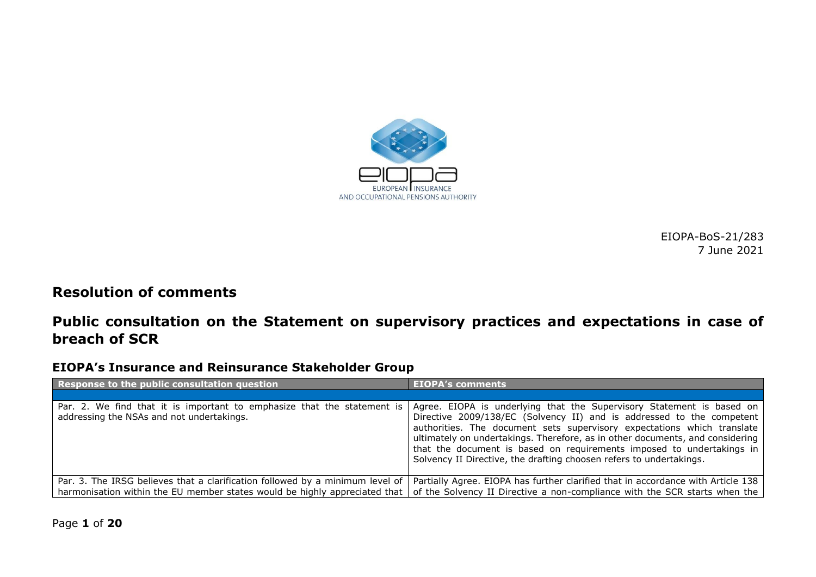

EIOPA-BoS-21/283 7 June 2021

### **Resolution of comments**

### **Public consultation on the Statement on supervisory practices and expectations in case of breach of SCR**

#### **EIOPA's Insurance and Reinsurance Stakeholder Group**

| Response to the public consultation question                                                                         | <b>EIOPA's comments</b>                                                                                                                                                                                                                                                                                                                                                                                                                                    |
|----------------------------------------------------------------------------------------------------------------------|------------------------------------------------------------------------------------------------------------------------------------------------------------------------------------------------------------------------------------------------------------------------------------------------------------------------------------------------------------------------------------------------------------------------------------------------------------|
|                                                                                                                      |                                                                                                                                                                                                                                                                                                                                                                                                                                                            |
| Par. 2. We find that it is important to emphasize that the statement is<br>addressing the NSAs and not undertakings. | Agree. EIOPA is underlying that the Supervisory Statement is based on<br>Directive 2009/138/EC (Solvency II) and is addressed to the competent<br>authorities. The document sets supervisory expectations which translate<br>ultimately on undertakings. Therefore, as in other documents, and considering<br>that the document is based on requirements imposed to undertakings in<br>Solvency II Directive, the drafting choosen refers to undertakings. |
| Par. 3. The IRSG believes that a clarification followed by a minimum level of                                        | Partially Agree. EIOPA has further clarified that in accordance with Article 138                                                                                                                                                                                                                                                                                                                                                                           |
| harmonisation within the EU member states would be highly appreciated that                                           | of the Solvency II Directive a non-compliance with the SCR starts when the                                                                                                                                                                                                                                                                                                                                                                                 |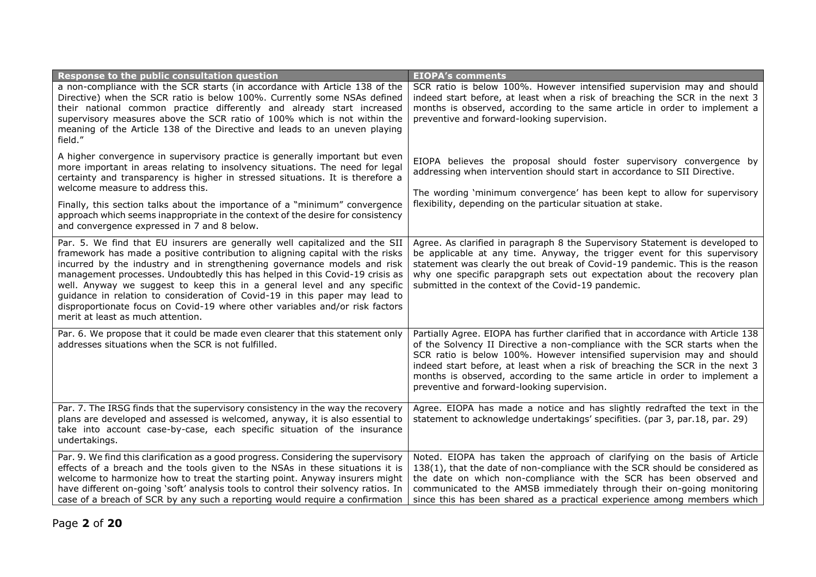| Response to the public consultation question                                                                                                                                                                                                                                                                                                                                                                                                                                                                                                                                                             | <b>EIOPA's comments</b>                                                                                                                                                                                                                                                                                                                                                                                                                               |
|----------------------------------------------------------------------------------------------------------------------------------------------------------------------------------------------------------------------------------------------------------------------------------------------------------------------------------------------------------------------------------------------------------------------------------------------------------------------------------------------------------------------------------------------------------------------------------------------------------|-------------------------------------------------------------------------------------------------------------------------------------------------------------------------------------------------------------------------------------------------------------------------------------------------------------------------------------------------------------------------------------------------------------------------------------------------------|
| a non-compliance with the SCR starts (in accordance with Article 138 of the<br>Directive) when the SCR ratio is below 100%. Currently some NSAs defined<br>their national common practice differently and already start increased<br>supervisory measures above the SCR ratio of 100% which is not within the<br>meaning of the Article 138 of the Directive and leads to an uneven playing<br>field."                                                                                                                                                                                                   | SCR ratio is below 100%. However intensified supervision may and should<br>indeed start before, at least when a risk of breaching the SCR in the next 3<br>months is observed, according to the same article in order to implement a<br>preventive and forward-looking supervision.                                                                                                                                                                   |
| A higher convergence in supervisory practice is generally important but even<br>more important in areas relating to insolvency situations. The need for legal<br>certainty and transparency is higher in stressed situations. It is therefore a<br>welcome measure to address this.                                                                                                                                                                                                                                                                                                                      | EIOPA believes the proposal should foster supervisory convergence by<br>addressing when intervention should start in accordance to SII Directive.<br>The wording 'minimum convergence' has been kept to allow for supervisory                                                                                                                                                                                                                         |
| Finally, this section talks about the importance of a "minimum" convergence<br>approach which seems inappropriate in the context of the desire for consistency<br>and convergence expressed in 7 and 8 below.                                                                                                                                                                                                                                                                                                                                                                                            | flexibility, depending on the particular situation at stake.                                                                                                                                                                                                                                                                                                                                                                                          |
| Par. 5. We find that EU insurers are generally well capitalized and the SII<br>framework has made a positive contribution to aligning capital with the risks<br>incurred by the industry and in strengthening governance models and risk<br>management processes. Undoubtedly this has helped in this Covid-19 crisis as<br>well. Anyway we suggest to keep this in a general level and any specific<br>guidance in relation to consideration of Covid-19 in this paper may lead to<br>disproportionate focus on Covid-19 where other variables and/or risk factors<br>merit at least as much attention. | Agree. As clarified in paragraph 8 the Supervisory Statement is developed to<br>be applicable at any time. Anyway, the trigger event for this supervisory<br>statement was clearly the out break of Covid-19 pandemic. This is the reason<br>why one specific parapgraph sets out expectation about the recovery plan<br>submitted in the context of the Covid-19 pandemic.                                                                           |
| Par. 6. We propose that it could be made even clearer that this statement only<br>addresses situations when the SCR is not fulfilled.                                                                                                                                                                                                                                                                                                                                                                                                                                                                    | Partially Agree. EIOPA has further clarified that in accordance with Article 138<br>of the Solvency II Directive a non-compliance with the SCR starts when the<br>SCR ratio is below 100%. However intensified supervision may and should<br>indeed start before, at least when a risk of breaching the SCR in the next 3<br>months is observed, according to the same article in order to implement a<br>preventive and forward-looking supervision. |
| Par. 7. The IRSG finds that the supervisory consistency in the way the recovery<br>plans are developed and assessed is welcomed, anyway, it is also essential to<br>take into account case-by-case, each specific situation of the insurance<br>undertakings.                                                                                                                                                                                                                                                                                                                                            | Agree. EIOPA has made a notice and has slightly redrafted the text in the<br>statement to acknowledge undertakings' specifities. (par 3, par.18, par. 29)                                                                                                                                                                                                                                                                                             |
| Par. 9. We find this clarification as a good progress. Considering the supervisory<br>effects of a breach and the tools given to the NSAs in these situations it is<br>welcome to harmonize how to treat the starting point. Anyway insurers might<br>have different on-going 'soft' analysis tools to control their solvency ratios. In<br>case of a breach of SCR by any such a reporting would require a confirmation                                                                                                                                                                                 | Noted. EIOPA has taken the approach of clarifying on the basis of Article<br>138(1), that the date of non-compliance with the SCR should be considered as<br>the date on which non-compliance with the SCR has been observed and<br>communicated to the AMSB immediately through their on-going monitoring<br>since this has been shared as a practical experience among members which                                                                |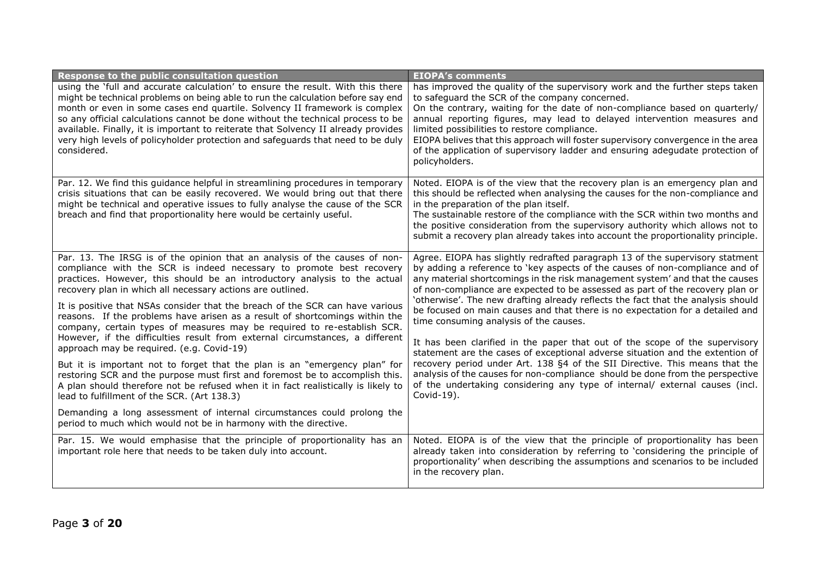| Response to the public consultation question                                                                                                                                                                                                                                                                                                                                                                                                                                                                                                                                                                                                                                                                                                                                                                                                                                                                                                                                                                                                                                                                           | <b>EIOPA's comments</b>                                                                                                                                                                                                                                                                                                                                                                                                                                                                                                                                                                                                                                                                                                                                                                                                                                                                                                                                                   |
|------------------------------------------------------------------------------------------------------------------------------------------------------------------------------------------------------------------------------------------------------------------------------------------------------------------------------------------------------------------------------------------------------------------------------------------------------------------------------------------------------------------------------------------------------------------------------------------------------------------------------------------------------------------------------------------------------------------------------------------------------------------------------------------------------------------------------------------------------------------------------------------------------------------------------------------------------------------------------------------------------------------------------------------------------------------------------------------------------------------------|---------------------------------------------------------------------------------------------------------------------------------------------------------------------------------------------------------------------------------------------------------------------------------------------------------------------------------------------------------------------------------------------------------------------------------------------------------------------------------------------------------------------------------------------------------------------------------------------------------------------------------------------------------------------------------------------------------------------------------------------------------------------------------------------------------------------------------------------------------------------------------------------------------------------------------------------------------------------------|
| using the 'full and accurate calculation' to ensure the result. With this there<br>might be technical problems on being able to run the calculation before say end<br>month or even in some cases end quartile. Solvency II framework is complex<br>so any official calculations cannot be done without the technical process to be<br>available. Finally, it is important to reiterate that Solvency II already provides<br>very high levels of policyholder protection and safeguards that need to be duly<br>considered.                                                                                                                                                                                                                                                                                                                                                                                                                                                                                                                                                                                            | has improved the quality of the supervisory work and the further steps taken<br>to safeguard the SCR of the company concerned.<br>On the contrary, waiting for the date of non-compliance based on quarterly/<br>annual reporting figures, may lead to delayed intervention measures and<br>limited possibilities to restore compliance.<br>EIOPA belives that this approach will foster supervisory convergence in the area<br>of the application of supervisory ladder and ensuring adegudate protection of<br>policyholders.                                                                                                                                                                                                                                                                                                                                                                                                                                           |
| Par. 12. We find this guidance helpful in streamlining procedures in temporary<br>crisis situations that can be easily recovered. We would bring out that there<br>might be technical and operative issues to fully analyse the cause of the SCR<br>breach and find that proportionality here would be certainly useful.                                                                                                                                                                                                                                                                                                                                                                                                                                                                                                                                                                                                                                                                                                                                                                                               | Noted. EIOPA is of the view that the recovery plan is an emergency plan and<br>this should be reflected when analysing the causes for the non-compliance and<br>in the preparation of the plan itself.<br>The sustainable restore of the compliance with the SCR within two months and<br>the positive consideration from the supervisory authority which allows not to<br>submit a recovery plan already takes into account the proportionality principle.                                                                                                                                                                                                                                                                                                                                                                                                                                                                                                               |
| Par. 13. The IRSG is of the opinion that an analysis of the causes of non-<br>compliance with the SCR is indeed necessary to promote best recovery<br>practices. However, this should be an introductory analysis to the actual<br>recovery plan in which all necessary actions are outlined.<br>It is positive that NSAs consider that the breach of the SCR can have various<br>reasons. If the problems have arisen as a result of shortcomings within the<br>company, certain types of measures may be required to re-establish SCR.<br>However, if the difficulties result from external circumstances, a different<br>approach may be required. (e.g. Covid-19)<br>But it is important not to forget that the plan is an "emergency plan" for<br>restoring SCR and the purpose must first and foremost be to accomplish this.<br>A plan should therefore not be refused when it in fact realistically is likely to<br>lead to fulfillment of the SCR. (Art 138.3)<br>Demanding a long assessment of internal circumstances could prolong the<br>period to much which would not be in harmony with the directive. | Agree. EIOPA has slightly redrafted paragraph 13 of the supervisory statment<br>by adding a reference to 'key aspects of the causes of non-compliance and of<br>any material shortcomings in the risk management system' and that the causes<br>of non-compliance are expected to be assessed as part of the recovery plan or<br>'otherwise'. The new drafting already reflects the fact that the analysis should<br>be focused on main causes and that there is no expectation for a detailed and<br>time consuming analysis of the causes.<br>It has been clarified in the paper that out of the scope of the supervisory<br>statement are the cases of exceptional adverse situation and the extention of<br>recovery period under Art. 138 §4 of the SII Directive. This means that the<br>analysis of the causes for non-compliance should be done from the perspective<br>of the undertaking considering any type of internal/ external causes (incl.<br>Covid-19). |
| Par. 15. We would emphasise that the principle of proportionality has an<br>important role here that needs to be taken duly into account.                                                                                                                                                                                                                                                                                                                                                                                                                                                                                                                                                                                                                                                                                                                                                                                                                                                                                                                                                                              | Noted. EIOPA is of the view that the principle of proportionality has been<br>already taken into consideration by referring to 'considering the principle of<br>proportionality' when describing the assumptions and scenarios to be included<br>in the recovery plan.                                                                                                                                                                                                                                                                                                                                                                                                                                                                                                                                                                                                                                                                                                    |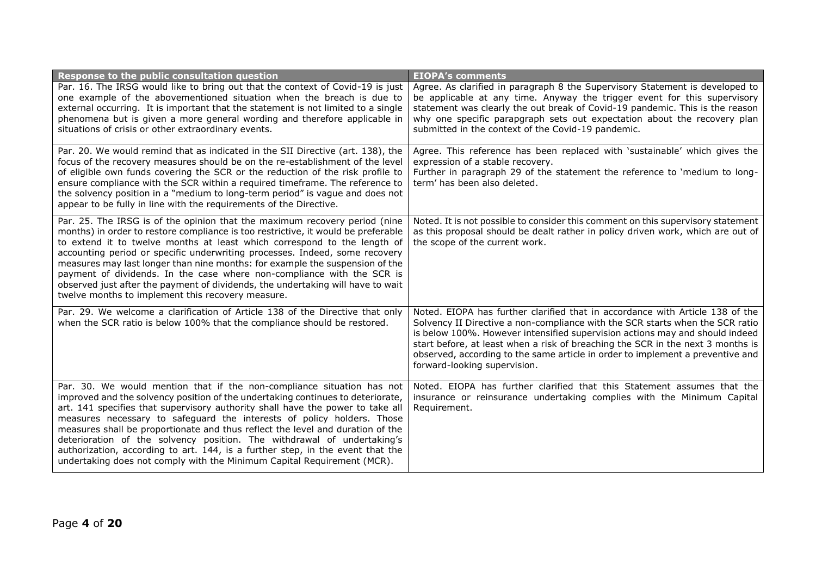| Response to the public consultation question                                                                                                                                                                                                                                                                                                                                                                                                                                                                                                                                                                                                    | <b>EIOPA's comments</b>                                                                                                                                                                                                                                                                                                                                                                                                                             |
|-------------------------------------------------------------------------------------------------------------------------------------------------------------------------------------------------------------------------------------------------------------------------------------------------------------------------------------------------------------------------------------------------------------------------------------------------------------------------------------------------------------------------------------------------------------------------------------------------------------------------------------------------|-----------------------------------------------------------------------------------------------------------------------------------------------------------------------------------------------------------------------------------------------------------------------------------------------------------------------------------------------------------------------------------------------------------------------------------------------------|
| Par. 16. The IRSG would like to bring out that the context of Covid-19 is just<br>one example of the abovementioned situation when the breach is due to<br>external occurring. It is important that the statement is not limited to a single<br>phenomena but is given a more general wording and therefore applicable in<br>situations of crisis or other extraordinary events.                                                                                                                                                                                                                                                                | Agree. As clarified in paragraph 8 the Supervisory Statement is developed to<br>be applicable at any time. Anyway the trigger event for this supervisory<br>statement was clearly the out break of Covid-19 pandemic. This is the reason<br>why one specific parapgraph sets out expectation about the recovery plan<br>submitted in the context of the Covid-19 pandemic.                                                                          |
| Par. 20. We would remind that as indicated in the SII Directive (art. 138), the<br>focus of the recovery measures should be on the re-establishment of the level<br>of eligible own funds covering the SCR or the reduction of the risk profile to<br>ensure compliance with the SCR within a required timeframe. The reference to<br>the solvency position in a "medium to long-term period" is vague and does not<br>appear to be fully in line with the requirements of the Directive.                                                                                                                                                       | Agree. This reference has been replaced with 'sustainable' which gives the<br>expression of a stable recovery.<br>Further in paragraph 29 of the statement the reference to 'medium to long-<br>term' has been also deleted.                                                                                                                                                                                                                        |
| Par. 25. The IRSG is of the opinion that the maximum recovery period (nine<br>months) in order to restore compliance is too restrictive, it would be preferable<br>to extend it to twelve months at least which correspond to the length of<br>accounting period or specific underwriting processes. Indeed, some recovery<br>measures may last longer than nine months: for example the suspension of the<br>payment of dividends. In the case where non-compliance with the SCR is<br>observed just after the payment of dividends, the undertaking will have to wait<br>twelve months to implement this recovery measure.                    | Noted. It is not possible to consider this comment on this supervisory statement<br>as this proposal should be dealt rather in policy driven work, which are out of<br>the scope of the current work.                                                                                                                                                                                                                                               |
| Par. 29. We welcome a clarification of Article 138 of the Directive that only<br>when the SCR ratio is below 100% that the compliance should be restored.                                                                                                                                                                                                                                                                                                                                                                                                                                                                                       | Noted. EIOPA has further clarified that in accordance with Article 138 of the<br>Solvency II Directive a non-compliance with the SCR starts when the SCR ratio<br>is below 100%. However intensified supervision actions may and should indeed<br>start before, at least when a risk of breaching the SCR in the next 3 months is<br>observed, according to the same article in order to implement a preventive and<br>forward-looking supervision. |
| Par. 30. We would mention that if the non-compliance situation has not<br>improved and the solvency position of the undertaking continues to deteriorate,<br>art. 141 specifies that supervisory authority shall have the power to take all<br>measures necessary to safeguard the interests of policy holders. Those<br>measures shall be proportionate and thus reflect the level and duration of the<br>deterioration of the solvency position. The withdrawal of undertaking's<br>authorization, according to art. 144, is a further step, in the event that the<br>undertaking does not comply with the Minimum Capital Requirement (MCR). | Noted. EIOPA has further clarified that this Statement assumes that the<br>insurance or reinsurance undertaking complies with the Minimum Capital<br>Requirement.                                                                                                                                                                                                                                                                                   |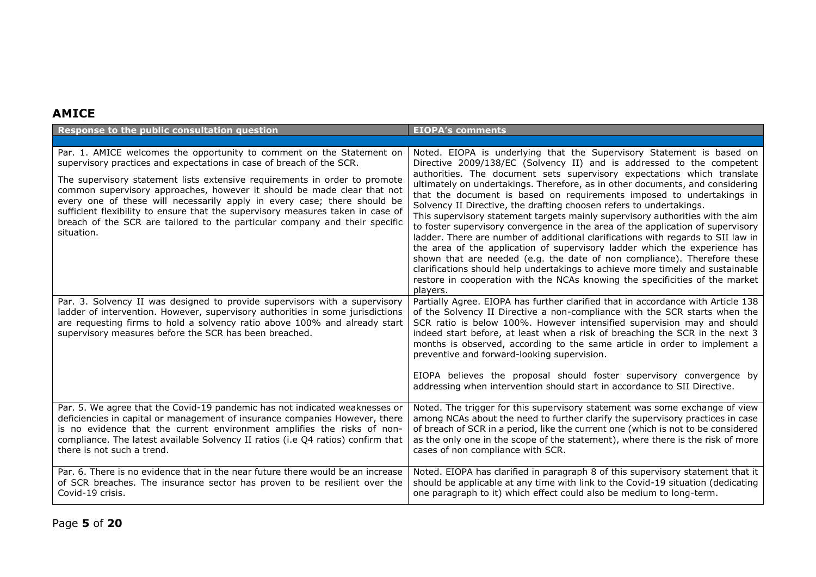#### **AMICE**

| Response to the public consultation question                                                                                                                                                                                                                                                                                                                                                                                                                                                                                                                       | <b>EIOPA's comments</b>                                                                                                                                                                                                                                                                                                                                                                                                                                                                                                                                                                                                                                                                                                                                                                                                                                                                                                                                                                                                                                     |
|--------------------------------------------------------------------------------------------------------------------------------------------------------------------------------------------------------------------------------------------------------------------------------------------------------------------------------------------------------------------------------------------------------------------------------------------------------------------------------------------------------------------------------------------------------------------|-------------------------------------------------------------------------------------------------------------------------------------------------------------------------------------------------------------------------------------------------------------------------------------------------------------------------------------------------------------------------------------------------------------------------------------------------------------------------------------------------------------------------------------------------------------------------------------------------------------------------------------------------------------------------------------------------------------------------------------------------------------------------------------------------------------------------------------------------------------------------------------------------------------------------------------------------------------------------------------------------------------------------------------------------------------|
|                                                                                                                                                                                                                                                                                                                                                                                                                                                                                                                                                                    |                                                                                                                                                                                                                                                                                                                                                                                                                                                                                                                                                                                                                                                                                                                                                                                                                                                                                                                                                                                                                                                             |
| Par. 1. AMICE welcomes the opportunity to comment on the Statement on<br>supervisory practices and expectations in case of breach of the SCR.<br>The supervisory statement lists extensive requirements in order to promote<br>common supervisory approaches, however it should be made clear that not<br>every one of these will necessarily apply in every case; there should be<br>sufficient flexibility to ensure that the supervisory measures taken in case of<br>breach of the SCR are tailored to the particular company and their specific<br>situation. | Noted. EIOPA is underlying that the Supervisory Statement is based on<br>Directive 2009/138/EC (Solvency II) and is addressed to the competent<br>authorities. The document sets supervisory expectations which translate<br>ultimately on undertakings. Therefore, as in other documents, and considering<br>that the document is based on requirements imposed to undertakings in<br>Solvency II Directive, the drafting choosen refers to undertakings.<br>This supervisory statement targets mainly supervisory authorities with the aim<br>to foster supervisory convergence in the area of the application of supervisory<br>ladder. There are number of additional clarifications with regards to SII law in<br>the area of the application of supervisory ladder which the experience has<br>shown that are needed (e.g. the date of non compliance). Therefore these<br>clarifications should help undertakings to achieve more timely and sustainable<br>restore in cooperation with the NCAs knowing the specificities of the market<br>players. |
| Par. 3. Solvency II was designed to provide supervisors with a supervisory<br>ladder of intervention. However, supervisory authorities in some jurisdictions<br>are requesting firms to hold a solvency ratio above 100% and already start<br>supervisory measures before the SCR has been breached.                                                                                                                                                                                                                                                               | Partially Agree. EIOPA has further clarified that in accordance with Article 138<br>of the Solvency II Directive a non-compliance with the SCR starts when the<br>SCR ratio is below 100%. However intensified supervision may and should<br>indeed start before, at least when a risk of breaching the SCR in the next 3<br>months is observed, according to the same article in order to implement a<br>preventive and forward-looking supervision.<br>EIOPA believes the proposal should foster supervisory convergence by<br>addressing when intervention should start in accordance to SII Directive.                                                                                                                                                                                                                                                                                                                                                                                                                                                  |
| Par. 5. We agree that the Covid-19 pandemic has not indicated weaknesses or<br>deficiencies in capital or management of insurance companies However, there<br>is no evidence that the current environment amplifies the risks of non-<br>compliance. The latest available Solvency II ratios (i.e Q4 ratios) confirm that<br>there is not such a trend.                                                                                                                                                                                                            | Noted. The trigger for this supervisory statement was some exchange of view<br>among NCAs about the need to further clarify the supervisory practices in case<br>of breach of SCR in a period, like the current one (which is not to be considered<br>as the only one in the scope of the statement), where there is the risk of more<br>cases of non compliance with SCR.                                                                                                                                                                                                                                                                                                                                                                                                                                                                                                                                                                                                                                                                                  |
| Par. 6. There is no evidence that in the near future there would be an increase<br>of SCR breaches. The insurance sector has proven to be resilient over the<br>Covid-19 crisis.                                                                                                                                                                                                                                                                                                                                                                                   | Noted. EIOPA has clarified in paragraph 8 of this supervisory statement that it<br>should be applicable at any time with link to the Covid-19 situation (dedicating<br>one paragraph to it) which effect could also be medium to long-term.                                                                                                                                                                                                                                                                                                                                                                                                                                                                                                                                                                                                                                                                                                                                                                                                                 |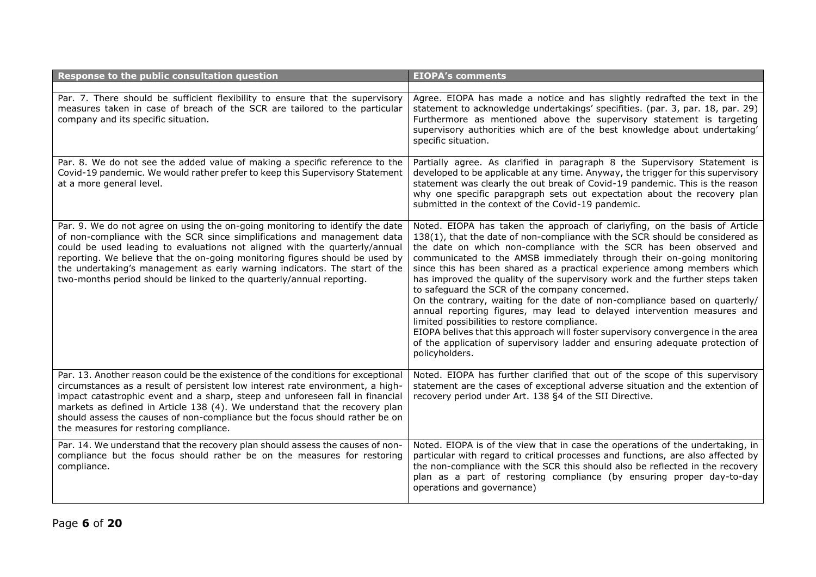| Response to the public consultation question                                                                                                                                                                                                                                                                                                                                                                                                                                   | <b>EIOPA's comments</b>                                                                                                                                                                                                                                                                                                                                                                                                                                                                                                                                                                                                                                                                                                                                                                                                                                                                                                   |
|--------------------------------------------------------------------------------------------------------------------------------------------------------------------------------------------------------------------------------------------------------------------------------------------------------------------------------------------------------------------------------------------------------------------------------------------------------------------------------|---------------------------------------------------------------------------------------------------------------------------------------------------------------------------------------------------------------------------------------------------------------------------------------------------------------------------------------------------------------------------------------------------------------------------------------------------------------------------------------------------------------------------------------------------------------------------------------------------------------------------------------------------------------------------------------------------------------------------------------------------------------------------------------------------------------------------------------------------------------------------------------------------------------------------|
| Par. 7. There should be sufficient flexibility to ensure that the supervisory<br>measures taken in case of breach of the SCR are tailored to the particular<br>company and its specific situation.                                                                                                                                                                                                                                                                             | Agree. EIOPA has made a notice and has slightly redrafted the text in the<br>statement to acknowledge undertakings' specifities. (par. 3, par. 18, par. 29)<br>Furthermore as mentioned above the supervisory statement is targeting<br>supervisory authorities which are of the best knowledge about undertaking'<br>specific situation.                                                                                                                                                                                                                                                                                                                                                                                                                                                                                                                                                                                 |
| Par. 8. We do not see the added value of making a specific reference to the<br>Covid-19 pandemic. We would rather prefer to keep this Supervisory Statement<br>at a more general level.                                                                                                                                                                                                                                                                                        | Partially agree. As clarified in paragraph 8 the Supervisory Statement is<br>developed to be applicable at any time. Anyway, the trigger for this supervisory<br>statement was clearly the out break of Covid-19 pandemic. This is the reason<br>why one specific parapgraph sets out expectation about the recovery plan<br>submitted in the context of the Covid-19 pandemic.                                                                                                                                                                                                                                                                                                                                                                                                                                                                                                                                           |
| Par. 9. We do not agree on using the on-going monitoring to identify the date<br>of non-compliance with the SCR since simplifications and management data<br>could be used leading to evaluations not aligned with the quarterly/annual<br>reporting. We believe that the on-going monitoring figures should be used by<br>the undertaking's management as early warning indicators. The start of the<br>two-months period should be linked to the quarterly/annual reporting. | Noted. EIOPA has taken the approach of clariyfing, on the basis of Article<br>138(1), that the date of non-compliance with the SCR should be considered as<br>the date on which non-compliance with the SCR has been observed and<br>communicated to the AMSB immediately through their on-going monitoring<br>since this has been shared as a practical experience among members which<br>has improved the quality of the supervisory work and the further steps taken<br>to safeguard the SCR of the company concerned.<br>On the contrary, waiting for the date of non-compliance based on quarterly/<br>annual reporting figures, may lead to delayed intervention measures and<br>limited possibilities to restore compliance.<br>EIOPA belives that this approach will foster supervisory convergence in the area<br>of the application of supervisory ladder and ensuring adequate protection of<br>policyholders. |
| Par. 13. Another reason could be the existence of the conditions for exceptional<br>circumstances as a result of persistent low interest rate environment, a high-<br>impact catastrophic event and a sharp, steep and unforeseen fall in financial<br>markets as defined in Article 138 (4). We understand that the recovery plan<br>should assess the causes of non-compliance but the focus should rather be on<br>the measures for restoring compliance.                   | Noted. EIOPA has further clarified that out of the scope of this supervisory<br>statement are the cases of exceptional adverse situation and the extention of<br>recovery period under Art. 138 §4 of the SII Directive.                                                                                                                                                                                                                                                                                                                                                                                                                                                                                                                                                                                                                                                                                                  |
| Par. 14. We understand that the recovery plan should assess the causes of non-<br>compliance but the focus should rather be on the measures for restoring<br>compliance.                                                                                                                                                                                                                                                                                                       | Noted. EIOPA is of the view that in case the operations of the undertaking, in<br>particular with regard to critical processes and functions, are also affected by<br>the non-compliance with the SCR this should also be reflected in the recovery<br>plan as a part of restoring compliance (by ensuring proper day-to-day<br>operations and governance)                                                                                                                                                                                                                                                                                                                                                                                                                                                                                                                                                                |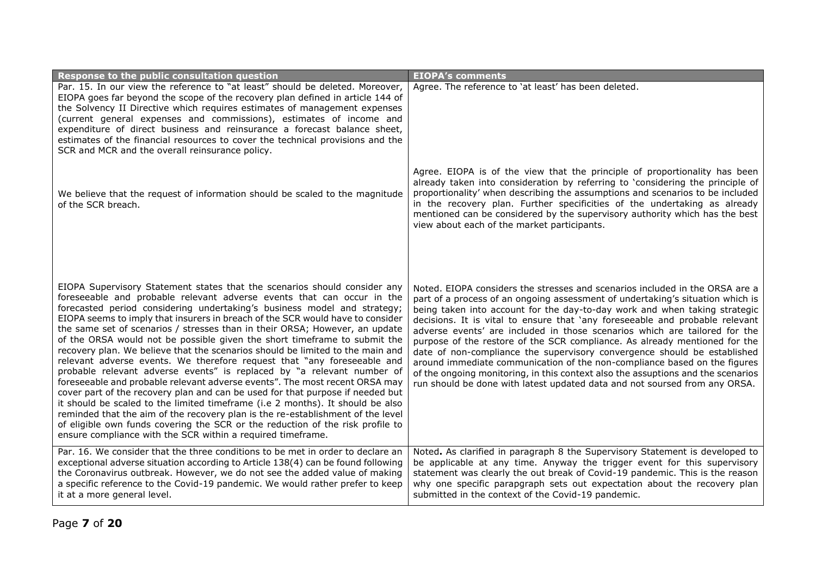| Response to the public consultation question                                                                                                                                                                                                                                                                                                                                                                                                                                                                                                                                                                                                                                                                                                                                                                                                                                                                                                                                                                                                                                                                                                                                                                | <b>EIOPA's comments</b>                                                                                                                                                                                                                                                                                                                                                                                                                                                                                                                                                                                                                                                                                                                                                                                             |
|-------------------------------------------------------------------------------------------------------------------------------------------------------------------------------------------------------------------------------------------------------------------------------------------------------------------------------------------------------------------------------------------------------------------------------------------------------------------------------------------------------------------------------------------------------------------------------------------------------------------------------------------------------------------------------------------------------------------------------------------------------------------------------------------------------------------------------------------------------------------------------------------------------------------------------------------------------------------------------------------------------------------------------------------------------------------------------------------------------------------------------------------------------------------------------------------------------------|---------------------------------------------------------------------------------------------------------------------------------------------------------------------------------------------------------------------------------------------------------------------------------------------------------------------------------------------------------------------------------------------------------------------------------------------------------------------------------------------------------------------------------------------------------------------------------------------------------------------------------------------------------------------------------------------------------------------------------------------------------------------------------------------------------------------|
| Par. 15. In our view the reference to "at least" should be deleted. Moreover,<br>EIOPA goes far beyond the scope of the recovery plan defined in article 144 of<br>the Solvency II Directive which requires estimates of management expenses<br>(current general expenses and commissions), estimates of income and<br>expenditure of direct business and reinsurance a forecast balance sheet,<br>estimates of the financial resources to cover the technical provisions and the<br>SCR and MCR and the overall reinsurance policy.                                                                                                                                                                                                                                                                                                                                                                                                                                                                                                                                                                                                                                                                        | Agree. The reference to 'at least' has been deleted.                                                                                                                                                                                                                                                                                                                                                                                                                                                                                                                                                                                                                                                                                                                                                                |
| We believe that the request of information should be scaled to the magnitude<br>of the SCR breach.                                                                                                                                                                                                                                                                                                                                                                                                                                                                                                                                                                                                                                                                                                                                                                                                                                                                                                                                                                                                                                                                                                          | Agree. EIOPA is of the view that the principle of proportionality has been<br>already taken into consideration by referring to 'considering the principle of<br>proportionality' when describing the assumptions and scenarios to be included<br>in the recovery plan. Further specificities of the undertaking as already<br>mentioned can be considered by the supervisory authority which has the best<br>view about each of the market participants.                                                                                                                                                                                                                                                                                                                                                            |
| EIOPA Supervisory Statement states that the scenarios should consider any<br>foreseeable and probable relevant adverse events that can occur in the<br>forecasted period considering undertaking's business model and strategy;<br>EIOPA seems to imply that insurers in breach of the SCR would have to consider<br>the same set of scenarios / stresses than in their ORSA; However, an update<br>of the ORSA would not be possible given the short timeframe to submit the<br>recovery plan. We believe that the scenarios should be limited to the main and<br>relevant adverse events. We therefore request that "any foreseeable and<br>probable relevant adverse events" is replaced by "a relevant number of<br>foreseeable and probable relevant adverse events". The most recent ORSA may<br>cover part of the recovery plan and can be used for that purpose if needed but<br>it should be scaled to the limited timeframe (i.e 2 months). It should be also<br>reminded that the aim of the recovery plan is the re-establishment of the level<br>of eligible own funds covering the SCR or the reduction of the risk profile to<br>ensure compliance with the SCR within a required timeframe. | Noted. EIOPA considers the stresses and scenarios included in the ORSA are a<br>part of a process of an ongoing assessment of undertaking's situation which is<br>being taken into account for the day-to-day work and when taking strategic<br>decisions. It is vital to ensure that 'any foreseeable and probable relevant<br>adverse events' are included in those scenarios which are tailored for the<br>purpose of the restore of the SCR compliance. As already mentioned for the<br>date of non-compliance the supervisory convergence should be established<br>around immediate communication of the non-compliance based on the figures<br>of the ongoing monitoring, in this context also the assuptions and the scenarios<br>run should be done with latest updated data and not soursed from any ORSA. |
| Par. 16. We consider that the three conditions to be met in order to declare an<br>exceptional adverse situation according to Article 138(4) can be found following<br>the Coronavirus outbreak. However, we do not see the added value of making<br>a specific reference to the Covid-19 pandemic. We would rather prefer to keep<br>it at a more general level.                                                                                                                                                                                                                                                                                                                                                                                                                                                                                                                                                                                                                                                                                                                                                                                                                                           | Noted. As clarified in paragraph 8 the Supervisory Statement is developed to<br>be applicable at any time. Anyway the trigger event for this supervisory<br>statement was clearly the out break of Covid-19 pandemic. This is the reason<br>why one specific parapgraph sets out expectation about the recovery plan<br>submitted in the context of the Covid-19 pandemic.                                                                                                                                                                                                                                                                                                                                                                                                                                          |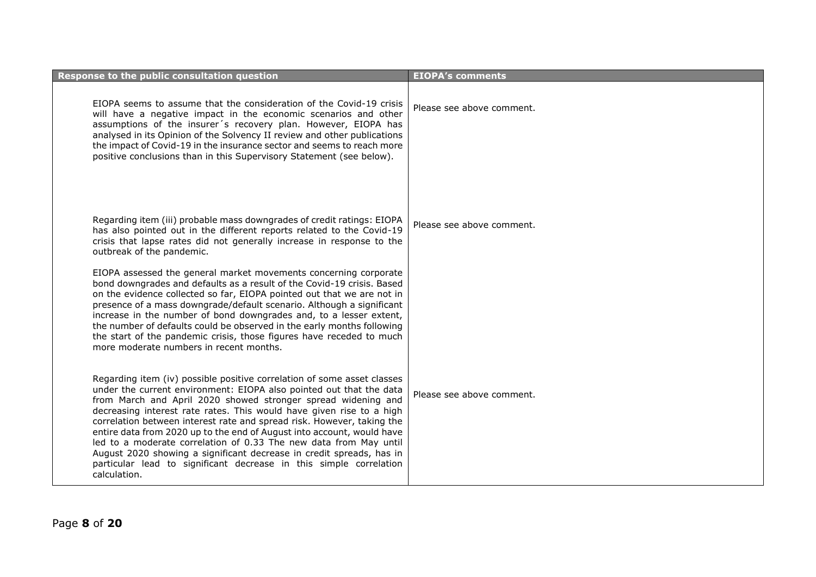| Response to the public consultation question                                                                                                                                                                                                                                                                                                                                                                                                                                                                                                                                                                                                                                   | <b>EIOPA's comments</b>   |
|--------------------------------------------------------------------------------------------------------------------------------------------------------------------------------------------------------------------------------------------------------------------------------------------------------------------------------------------------------------------------------------------------------------------------------------------------------------------------------------------------------------------------------------------------------------------------------------------------------------------------------------------------------------------------------|---------------------------|
| EIOPA seems to assume that the consideration of the Covid-19 crisis<br>will have a negative impact in the economic scenarios and other<br>assumptions of the insurer's recovery plan. However, EIOPA has<br>analysed in its Opinion of the Solvency II review and other publications<br>the impact of Covid-19 in the insurance sector and seems to reach more<br>positive conclusions than in this Supervisory Statement (see below).                                                                                                                                                                                                                                         | Please see above comment. |
| Regarding item (iii) probable mass downgrades of credit ratings: EIOPA<br>has also pointed out in the different reports related to the Covid-19<br>crisis that lapse rates did not generally increase in response to the<br>outbreak of the pandemic.                                                                                                                                                                                                                                                                                                                                                                                                                          | Please see above comment. |
| EIOPA assessed the general market movements concerning corporate<br>bond downgrades and defaults as a result of the Covid-19 crisis. Based<br>on the evidence collected so far, EIOPA pointed out that we are not in<br>presence of a mass downgrade/default scenario. Although a significant<br>increase in the number of bond downgrades and, to a lesser extent,<br>the number of defaults could be observed in the early months following<br>the start of the pandemic crisis, those figures have receded to much<br>more moderate numbers in recent months.                                                                                                               |                           |
| Regarding item (iv) possible positive correlation of some asset classes<br>under the current environment: EIOPA also pointed out that the data<br>from March and April 2020 showed stronger spread widening and<br>decreasing interest rate rates. This would have given rise to a high<br>correlation between interest rate and spread risk. However, taking the<br>entire data from 2020 up to the end of August into account, would have<br>led to a moderate correlation of 0.33 The new data from May until<br>August 2020 showing a significant decrease in credit spreads, has in<br>particular lead to significant decrease in this simple correlation<br>calculation. | Please see above comment. |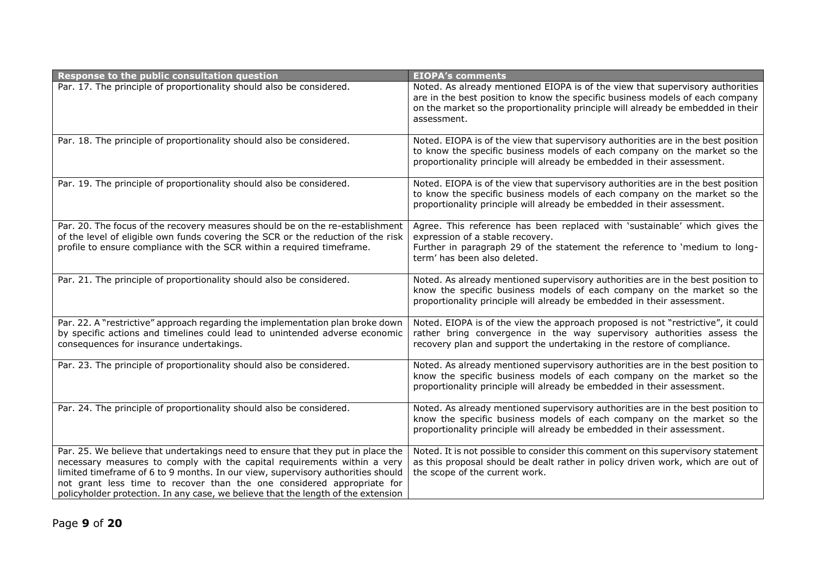| Response to the public consultation question                                                                                                                                                                                                                                                                                                                                                                  | <b>EIOPA's comments</b>                                                                                                                                                                                                                                           |
|---------------------------------------------------------------------------------------------------------------------------------------------------------------------------------------------------------------------------------------------------------------------------------------------------------------------------------------------------------------------------------------------------------------|-------------------------------------------------------------------------------------------------------------------------------------------------------------------------------------------------------------------------------------------------------------------|
| Par. 17. The principle of proportionality should also be considered.                                                                                                                                                                                                                                                                                                                                          | Noted. As already mentioned EIOPA is of the view that supervisory authorities<br>are in the best position to know the specific business models of each company<br>on the market so the proportionality principle will already be embedded in their<br>assessment. |
| Par. 18. The principle of proportionality should also be considered.                                                                                                                                                                                                                                                                                                                                          | Noted. EIOPA is of the view that supervisory authorities are in the best position<br>to know the specific business models of each company on the market so the<br>proportionality principle will already be embedded in their assessment.                         |
| Par. 19. The principle of proportionality should also be considered.                                                                                                                                                                                                                                                                                                                                          | Noted. EIOPA is of the view that supervisory authorities are in the best position<br>to know the specific business models of each company on the market so the<br>proportionality principle will already be embedded in their assessment.                         |
| Par. 20. The focus of the recovery measures should be on the re-establishment<br>of the level of eligible own funds covering the SCR or the reduction of the risk<br>profile to ensure compliance with the SCR within a required timeframe.                                                                                                                                                                   | Agree. This reference has been replaced with 'sustainable' which gives the<br>expression of a stable recovery.<br>Further in paragraph 29 of the statement the reference to 'medium to long-<br>term' has been also deleted.                                      |
| Par. 21. The principle of proportionality should also be considered.                                                                                                                                                                                                                                                                                                                                          | Noted. As already mentioned supervisory authorities are in the best position to<br>know the specific business models of each company on the market so the<br>proportionality principle will already be embedded in their assessment.                              |
| Par. 22. A "restrictive" approach regarding the implementation plan broke down<br>by specific actions and timelines could lead to unintended adverse economic<br>consequences for insurance undertakings.                                                                                                                                                                                                     | Noted. EIOPA is of the view the approach proposed is not "restrictive", it could<br>rather bring convergence in the way supervisory authorities assess the<br>recovery plan and support the undertaking in the restore of compliance.                             |
| Par. 23. The principle of proportionality should also be considered.                                                                                                                                                                                                                                                                                                                                          | Noted. As already mentioned supervisory authorities are in the best position to<br>know the specific business models of each company on the market so the<br>proportionality principle will already be embedded in their assessment.                              |
| Par. 24. The principle of proportionality should also be considered.                                                                                                                                                                                                                                                                                                                                          | Noted. As already mentioned supervisory authorities are in the best position to<br>know the specific business models of each company on the market so the<br>proportionality principle will already be embedded in their assessment.                              |
| Par. 25. We believe that undertakings need to ensure that they put in place the<br>necessary measures to comply with the capital requirements within a very<br>limited timeframe of 6 to 9 months. In our view, supervisory authorities should<br>not grant less time to recover than the one considered appropriate for<br>policyholder protection. In any case, we believe that the length of the extension | Noted. It is not possible to consider this comment on this supervisory statement<br>as this proposal should be dealt rather in policy driven work, which are out of<br>the scope of the current work.                                                             |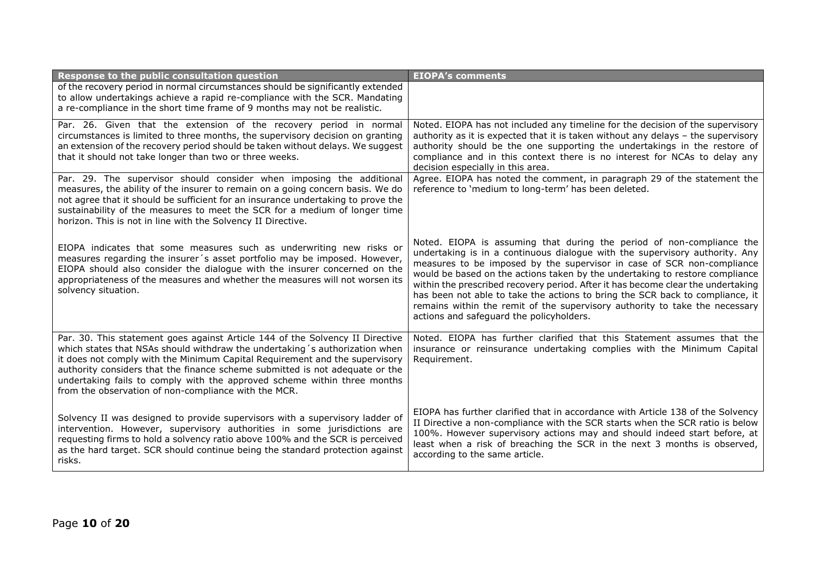| Response to the public consultation question                                                                                                                                                                                                                                                                                                                                                                                                                     | <b>EIOPA's comments</b>                                                                                                                                                                                                                                                                                                                                                                                                                                                                                                                                                                                        |
|------------------------------------------------------------------------------------------------------------------------------------------------------------------------------------------------------------------------------------------------------------------------------------------------------------------------------------------------------------------------------------------------------------------------------------------------------------------|----------------------------------------------------------------------------------------------------------------------------------------------------------------------------------------------------------------------------------------------------------------------------------------------------------------------------------------------------------------------------------------------------------------------------------------------------------------------------------------------------------------------------------------------------------------------------------------------------------------|
| of the recovery period in normal circumstances should be significantly extended<br>to allow undertakings achieve a rapid re-compliance with the SCR. Mandating<br>a re-compliance in the short time frame of 9 months may not be realistic.                                                                                                                                                                                                                      |                                                                                                                                                                                                                                                                                                                                                                                                                                                                                                                                                                                                                |
| Par. 26. Given that the extension of the recovery period in normal<br>circumstances is limited to three months, the supervisory decision on granting<br>an extension of the recovery period should be taken without delays. We suggest<br>that it should not take longer than two or three weeks.                                                                                                                                                                | Noted. EIOPA has not included any timeline for the decision of the supervisory<br>authority as it is expected that it is taken without any delays - the supervisory<br>authority should be the one supporting the undertakings in the restore of<br>compliance and in this context there is no interest for NCAs to delay any<br>decision especially in this area.                                                                                                                                                                                                                                             |
| Par. 29. The supervisor should consider when imposing the additional<br>measures, the ability of the insurer to remain on a going concern basis. We do<br>not agree that it should be sufficient for an insurance undertaking to prove the<br>sustainability of the measures to meet the SCR for a medium of longer time<br>horizon. This is not in line with the Solvency II Directive.                                                                         | Agree. EIOPA has noted the comment, in paragraph 29 of the statement the<br>reference to 'medium to long-term' has been deleted.                                                                                                                                                                                                                                                                                                                                                                                                                                                                               |
| EIOPA indicates that some measures such as underwriting new risks or<br>measures regarding the insurer's asset portfolio may be imposed. However,<br>EIOPA should also consider the dialogue with the insurer concerned on the<br>appropriateness of the measures and whether the measures will not worsen its<br>solvency situation.                                                                                                                            | Noted. EIOPA is assuming that during the period of non-compliance the<br>undertaking is in a continuous dialogue with the supervisory authority. Any<br>measures to be imposed by the supervisor in case of SCR non-compliance<br>would be based on the actions taken by the undertaking to restore compliance<br>within the prescribed recovery period. After it has become clear the undertaking<br>has been not able to take the actions to bring the SCR back to compliance, it<br>remains within the remit of the supervisory authority to take the necessary<br>actions and safeguard the policyholders. |
| Par. 30. This statement goes against Article 144 of the Solvency II Directive<br>which states that NSAs should withdraw the undertaking 's authorization when<br>it does not comply with the Minimum Capital Requirement and the supervisory<br>authority considers that the finance scheme submitted is not adequate or the<br>undertaking fails to comply with the approved scheme within three months<br>from the observation of non-compliance with the MCR. | Noted. EIOPA has further clarified that this Statement assumes that the<br>insurance or reinsurance undertaking complies with the Minimum Capital<br>Requirement.                                                                                                                                                                                                                                                                                                                                                                                                                                              |
| Solvency II was designed to provide supervisors with a supervisory ladder of<br>intervention. However, supervisory authorities in some jurisdictions are<br>requesting firms to hold a solvency ratio above 100% and the SCR is perceived<br>as the hard target. SCR should continue being the standard protection against<br>risks.                                                                                                                             | EIOPA has further clarified that in accordance with Article 138 of the Solvency<br>II Directive a non-compliance with the SCR starts when the SCR ratio is below<br>100%. However supervisory actions may and should indeed start before, at<br>least when a risk of breaching the SCR in the next 3 months is observed,<br>according to the same article.                                                                                                                                                                                                                                                     |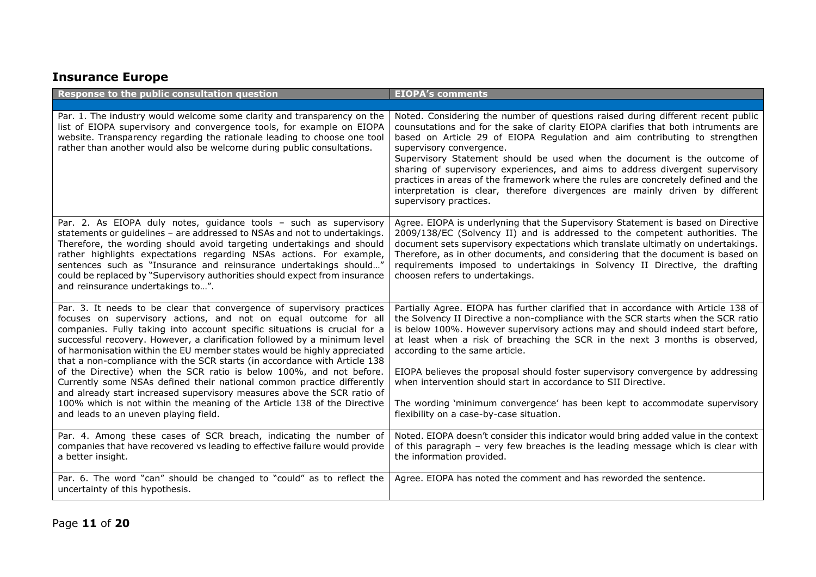## **Insurance Europe**

| Response to the public consultation question                                                                                                                                                                                                                                                                                                                                                                                                                                                                                                                                                                                                                                                                                                                                                                   | <b>EIOPA's comments</b>                                                                                                                                                                                                                                                                                                                                                                                                                                                                                                                                                                                                                                    |
|----------------------------------------------------------------------------------------------------------------------------------------------------------------------------------------------------------------------------------------------------------------------------------------------------------------------------------------------------------------------------------------------------------------------------------------------------------------------------------------------------------------------------------------------------------------------------------------------------------------------------------------------------------------------------------------------------------------------------------------------------------------------------------------------------------------|------------------------------------------------------------------------------------------------------------------------------------------------------------------------------------------------------------------------------------------------------------------------------------------------------------------------------------------------------------------------------------------------------------------------------------------------------------------------------------------------------------------------------------------------------------------------------------------------------------------------------------------------------------|
|                                                                                                                                                                                                                                                                                                                                                                                                                                                                                                                                                                                                                                                                                                                                                                                                                |                                                                                                                                                                                                                                                                                                                                                                                                                                                                                                                                                                                                                                                            |
| Par. 1. The industry would welcome some clarity and transparency on the<br>list of EIOPA supervisory and convergence tools, for example on EIOPA<br>website. Transparency regarding the rationale leading to choose one tool<br>rather than another would also be welcome during public consultations.                                                                                                                                                                                                                                                                                                                                                                                                                                                                                                         | Noted. Considering the number of questions raised during different recent public<br>counsutations and for the sake of clarity EIOPA clarifies that both intruments are<br>based on Article 29 of EIOPA Regulation and aim contributing to strengthen<br>supervisory convergence.<br>Supervisory Statement should be used when the document is the outcome of<br>sharing of supervisory experiences, and aims to address divergent supervisory<br>practices in areas of the framework where the rules are concretely defined and the<br>interpretation is clear, therefore divergences are mainly driven by different<br>supervisory practices.             |
| Par. 2. As EIOPA duly notes, guidance tools - such as supervisory<br>statements or guidelines - are addressed to NSAs and not to undertakings.<br>Therefore, the wording should avoid targeting undertakings and should<br>rather highlights expectations regarding NSAs actions. For example,<br>sentences such as "Insurance and reinsurance undertakings should"<br>could be replaced by "Supervisory authorities should expect from insurance<br>and reinsurance undertakings to".                                                                                                                                                                                                                                                                                                                         | Agree. EIOPA is underlyning that the Supervisory Statement is based on Directive<br>2009/138/EC (Solvency II) and is addressed to the competent authorities. The<br>document sets supervisory expectations which translate ultimatly on undertakings.<br>Therefore, as in other documents, and considering that the document is based on<br>requirements imposed to undertakings in Solvency II Directive, the drafting<br>choosen refers to undertakings.                                                                                                                                                                                                 |
| Par. 3. It needs to be clear that convergence of supervisory practices<br>focuses on supervisory actions, and not on equal outcome for all<br>companies. Fully taking into account specific situations is crucial for a<br>successful recovery. However, a clarification followed by a minimum level<br>of harmonisation within the EU member states would be highly appreciated<br>that a non-compliance with the SCR starts (in accordance with Article 138<br>of the Directive) when the SCR ratio is below 100%, and not before.<br>Currently some NSAs defined their national common practice differently<br>and already start increased supervisory measures above the SCR ratio of<br>100% which is not within the meaning of the Article 138 of the Directive<br>and leads to an uneven playing field. | Partially Agree. EIOPA has further clarified that in accordance with Article 138 of<br>the Solvency II Directive a non-compliance with the SCR starts when the SCR ratio<br>is below 100%. However supervisory actions may and should indeed start before,<br>at least when a risk of breaching the SCR in the next 3 months is observed,<br>according to the same article.<br>EIOPA believes the proposal should foster supervisory convergence by addressing<br>when intervention should start in accordance to SII Directive.<br>The wording 'minimum convergence' has been kept to accommodate supervisory<br>flexibility on a case-by-case situation. |
| Par. 4. Among these cases of SCR breach, indicating the number of<br>companies that have recovered vs leading to effective failure would provide<br>a better insight.                                                                                                                                                                                                                                                                                                                                                                                                                                                                                                                                                                                                                                          | Noted. EIOPA doesn't consider this indicator would bring added value in the context<br>of this paragraph - very few breaches is the leading message which is clear with<br>the information provided.                                                                                                                                                                                                                                                                                                                                                                                                                                                       |
| Par. 6. The word "can" should be changed to "could" as to reflect the<br>uncertainty of this hypothesis.                                                                                                                                                                                                                                                                                                                                                                                                                                                                                                                                                                                                                                                                                                       | Agree. EIOPA has noted the comment and has reworded the sentence.                                                                                                                                                                                                                                                                                                                                                                                                                                                                                                                                                                                          |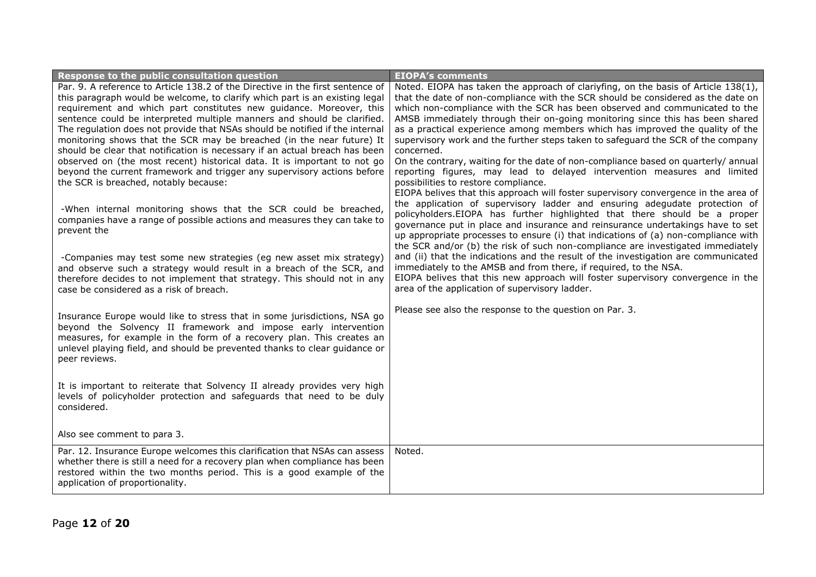| Response to the public consultation question                                   | <b>EIOPA's comments</b>                                                             |
|--------------------------------------------------------------------------------|-------------------------------------------------------------------------------------|
| Par. 9. A reference to Article 138.2 of the Directive in the first sentence of | Noted. EIOPA has taken the approach of clariyfing, on the basis of Article 138(1),  |
| this paragraph would be welcome, to clarify which part is an existing legal    | that the date of non-compliance with the SCR should be considered as the date on    |
| requirement and which part constitutes new quidance. Moreover, this            | which non-compliance with the SCR has been observed and communicated to the         |
| sentence could be interpreted multiple manners and should be clarified.        | AMSB immediately through their on-going monitoring since this has been shared       |
| The regulation does not provide that NSAs should be notified if the internal   | as a practical experience among members which has improved the quality of the       |
| monitoring shows that the SCR may be breached (in the near future) It          | supervisory work and the further steps taken to safeguard the SCR of the company    |
| should be clear that notification is necessary if an actual breach has been    | concerned.                                                                          |
| observed on (the most recent) historical data. It is important to not go       | On the contrary, waiting for the date of non-compliance based on quarterly/ annual  |
| beyond the current framework and trigger any supervisory actions before        | reporting figures, may lead to delayed intervention measures and limited            |
| the SCR is breached, notably because:                                          | possibilities to restore compliance.                                                |
|                                                                                | EIOPA belives that this approach will foster supervisory convergence in the area of |
| -When internal monitoring shows that the SCR could be breached,                | the application of supervisory ladder and ensuring adegudate protection of          |
| companies have a range of possible actions and measures they can take to       | policyholders.EIOPA has further highlighted that there should be a proper           |
| prevent the                                                                    | governance put in place and insurance and reinsurance undertakings have to set      |
|                                                                                | up appropriate processes to ensure (i) that indications of (a) non-compliance with  |
|                                                                                | the SCR and/or (b) the risk of such non-compliance are investigated immediately     |
| -Companies may test some new strategies (eg new asset mix strategy)            | and (ii) that the indications and the result of the investigation are communicated  |
| and observe such a strategy would result in a breach of the SCR, and           | immediately to the AMSB and from there, if required, to the NSA.                    |
| therefore decides to not implement that strategy. This should not in any       | EIOPA belives that this new approach will foster supervisory convergence in the     |
| case be considered as a risk of breach.                                        | area of the application of supervisory ladder.                                      |
|                                                                                |                                                                                     |
| Insurance Europe would like to stress that in some jurisdictions, NSA go       | Please see also the response to the question on Par. 3.                             |
| beyond the Solvency II framework and impose early intervention                 |                                                                                     |
| measures, for example in the form of a recovery plan. This creates an          |                                                                                     |
| unlevel playing field, and should be prevented thanks to clear guidance or     |                                                                                     |
| peer reviews.                                                                  |                                                                                     |
|                                                                                |                                                                                     |
| It is important to reiterate that Solvency II already provides very high       |                                                                                     |
| levels of policyholder protection and safeguards that need to be duly          |                                                                                     |
| considered.                                                                    |                                                                                     |
|                                                                                |                                                                                     |
|                                                                                |                                                                                     |
| Also see comment to para 3.                                                    |                                                                                     |
| Par. 12. Insurance Europe welcomes this clarification that NSAs can assess     | Noted.                                                                              |
| whether there is still a need for a recovery plan when compliance has been     |                                                                                     |
| restored within the two months period. This is a good example of the           |                                                                                     |
| application of proportionality.                                                |                                                                                     |
|                                                                                |                                                                                     |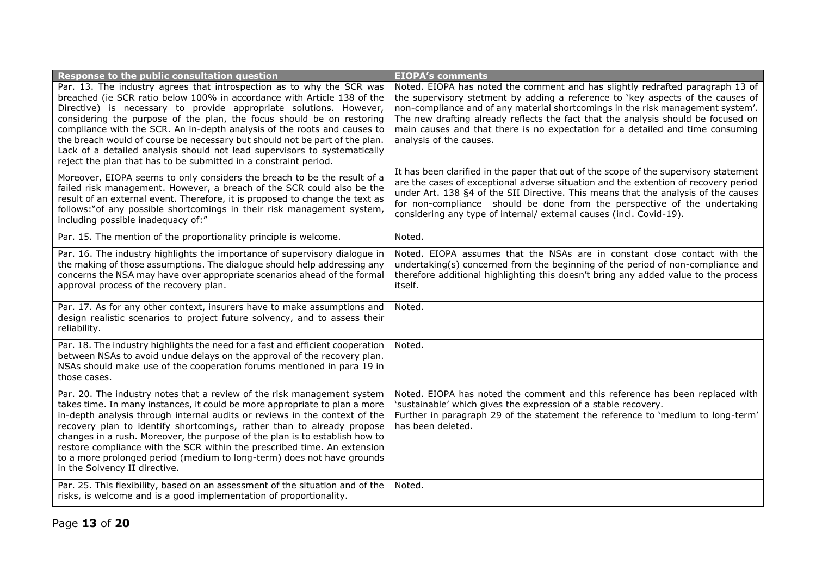| Response to the public consultation question                                                                                                                                                                                                                                                                                                                                                                                                                                                                                                                                                                                                                                                                                                                                                                                                                                                                                                                      | <b>EIOPA's comments</b>                                                                                                                                                                                                                                                                                                                                                                                                                                                                                                                                                                                                                                                                                                                                                                                                                                                         |
|-------------------------------------------------------------------------------------------------------------------------------------------------------------------------------------------------------------------------------------------------------------------------------------------------------------------------------------------------------------------------------------------------------------------------------------------------------------------------------------------------------------------------------------------------------------------------------------------------------------------------------------------------------------------------------------------------------------------------------------------------------------------------------------------------------------------------------------------------------------------------------------------------------------------------------------------------------------------|---------------------------------------------------------------------------------------------------------------------------------------------------------------------------------------------------------------------------------------------------------------------------------------------------------------------------------------------------------------------------------------------------------------------------------------------------------------------------------------------------------------------------------------------------------------------------------------------------------------------------------------------------------------------------------------------------------------------------------------------------------------------------------------------------------------------------------------------------------------------------------|
| Par. 13. The industry agrees that introspection as to why the SCR was<br>breached (ie SCR ratio below 100% in accordance with Article 138 of the<br>Directive) is necessary to provide appropriate solutions. However,<br>considering the purpose of the plan, the focus should be on restoring<br>compliance with the SCR. An in-depth analysis of the roots and causes to<br>the breach would of course be necessary but should not be part of the plan.<br>Lack of a detailed analysis should not lead supervisors to systematically<br>reject the plan that has to be submitted in a constraint period.<br>Moreover, EIOPA seems to only considers the breach to be the result of a<br>failed risk management. However, a breach of the SCR could also be the<br>result of an external event. Therefore, it is proposed to change the text as<br>follows:"of any possible shortcomings in their risk management system,<br>including possible inadequacy of:" | Noted. EIOPA has noted the comment and has slightly redrafted paragraph 13 of<br>the supervisory stetment by adding a reference to 'key aspects of the causes of<br>non-compliance and of any material shortcomings in the risk management system'.<br>The new drafting already reflects the fact that the analysis should be focused on<br>main causes and that there is no expectation for a detailed and time consuming<br>analysis of the causes.<br>It has been clarified in the paper that out of the scope of the supervisory statement<br>are the cases of exceptional adverse situation and the extention of recovery period<br>under Art. 138 §4 of the SII Directive. This means that the analysis of the causes<br>for non-compliance should be done from the perspective of the undertaking<br>considering any type of internal/ external causes (incl. Covid-19). |
| Par. 15. The mention of the proportionality principle is welcome.                                                                                                                                                                                                                                                                                                                                                                                                                                                                                                                                                                                                                                                                                                                                                                                                                                                                                                 | Noted.                                                                                                                                                                                                                                                                                                                                                                                                                                                                                                                                                                                                                                                                                                                                                                                                                                                                          |
| Par. 16. The industry highlights the importance of supervisory dialogue in<br>the making of those assumptions. The dialogue should help addressing any<br>concerns the NSA may have over appropriate scenarios ahead of the formal<br>approval process of the recovery plan.                                                                                                                                                                                                                                                                                                                                                                                                                                                                                                                                                                                                                                                                                      | Noted. EIOPA assumes that the NSAs are in constant close contact with the<br>undertaking(s) concerned from the beginning of the period of non-compliance and<br>therefore additional highlighting this doesn't bring any added value to the process<br>itself.                                                                                                                                                                                                                                                                                                                                                                                                                                                                                                                                                                                                                  |
| Par. 17. As for any other context, insurers have to make assumptions and<br>design realistic scenarios to project future solvency, and to assess their<br>reliability.                                                                                                                                                                                                                                                                                                                                                                                                                                                                                                                                                                                                                                                                                                                                                                                            | Noted.                                                                                                                                                                                                                                                                                                                                                                                                                                                                                                                                                                                                                                                                                                                                                                                                                                                                          |
| Par. 18. The industry highlights the need for a fast and efficient cooperation<br>between NSAs to avoid undue delays on the approval of the recovery plan.<br>NSAs should make use of the cooperation forums mentioned in para 19 in<br>those cases.                                                                                                                                                                                                                                                                                                                                                                                                                                                                                                                                                                                                                                                                                                              | Noted.                                                                                                                                                                                                                                                                                                                                                                                                                                                                                                                                                                                                                                                                                                                                                                                                                                                                          |
| Par. 20. The industry notes that a review of the risk management system<br>takes time. In many instances, it could be more appropriate to plan a more<br>in-depth analysis through internal audits or reviews in the context of the<br>recovery plan to identify shortcomings, rather than to already propose<br>changes in a rush. Moreover, the purpose of the plan is to establish how to<br>restore compliance with the SCR within the prescribed time. An extension<br>to a more prolonged period (medium to long-term) does not have grounds<br>in the Solvency II directive.                                                                                                                                                                                                                                                                                                                                                                               | Noted. EIOPA has noted the comment and this reference has been replaced with<br>'sustainable' which gives the expression of a stable recovery.<br>Further in paragraph 29 of the statement the reference to 'medium to long-term'<br>has been deleted.                                                                                                                                                                                                                                                                                                                                                                                                                                                                                                                                                                                                                          |
| Par. 25. This flexibility, based on an assessment of the situation and of the<br>risks, is welcome and is a good implementation of proportionality.                                                                                                                                                                                                                                                                                                                                                                                                                                                                                                                                                                                                                                                                                                                                                                                                               | Noted.                                                                                                                                                                                                                                                                                                                                                                                                                                                                                                                                                                                                                                                                                                                                                                                                                                                                          |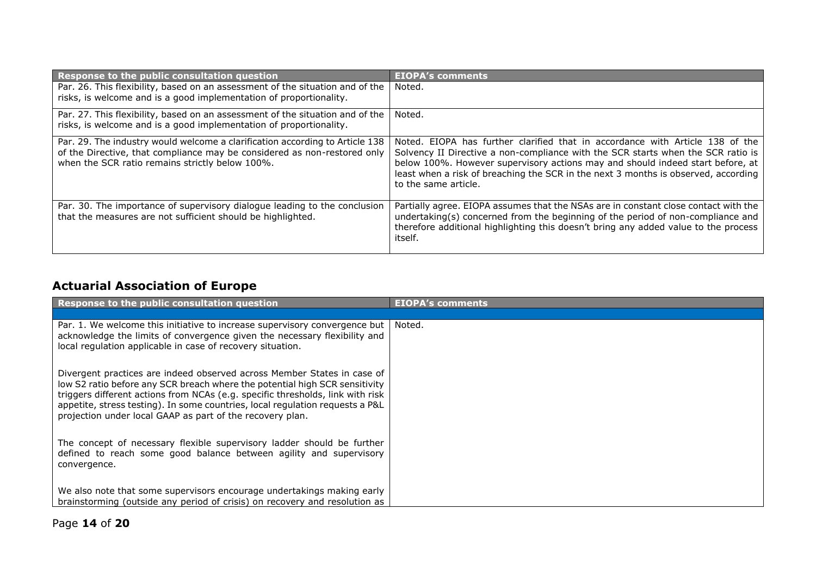| Response to the public consultation question                                                                                                                                                                | <b>EIOPA's comments</b>                                                                                                                                                                                                                                                                                                                                           |
|-------------------------------------------------------------------------------------------------------------------------------------------------------------------------------------------------------------|-------------------------------------------------------------------------------------------------------------------------------------------------------------------------------------------------------------------------------------------------------------------------------------------------------------------------------------------------------------------|
| Par. 26. This flexibility, based on an assessment of the situation and of the<br>risks, is welcome and is a good implementation of proportionality.                                                         | Noted.                                                                                                                                                                                                                                                                                                                                                            |
| Par. 27. This flexibility, based on an assessment of the situation and of the<br>risks, is welcome and is a good implementation of proportionality.                                                         | Noted.                                                                                                                                                                                                                                                                                                                                                            |
| Par. 29. The industry would welcome a clarification according to Article 138<br>of the Directive, that compliance may be considered as non-restored only<br>when the SCR ratio remains strictly below 100%. | Noted. EIOPA has further clarified that in accordance with Article 138 of the<br>Solvency II Directive a non-compliance with the SCR starts when the SCR ratio is<br>below 100%. However supervisory actions may and should indeed start before, at<br>least when a risk of breaching the SCR in the next 3 months is observed, according<br>to the same article. |
| Par. 30. The importance of supervisory dialogue leading to the conclusion<br>that the measures are not sufficient should be highlighted.                                                                    | Partially agree. EIOPA assumes that the NSAs are in constant close contact with the<br>undertaking(s) concerned from the beginning of the period of non-compliance and<br>therefore additional highlighting this doesn't bring any added value to the process<br>itself.                                                                                          |

# **Actuarial Association of Europe**

| Response to the public consultation question                                                                                                                                                                                                                                                                                                                                           | <b>EIOPA's comments</b> |
|----------------------------------------------------------------------------------------------------------------------------------------------------------------------------------------------------------------------------------------------------------------------------------------------------------------------------------------------------------------------------------------|-------------------------|
|                                                                                                                                                                                                                                                                                                                                                                                        |                         |
| Par. 1. We welcome this initiative to increase supervisory convergence but<br>acknowledge the limits of convergence given the necessary flexibility and<br>local regulation applicable in case of recovery situation.                                                                                                                                                                  | Noted.                  |
| Divergent practices are indeed observed across Member States in case of<br>low S2 ratio before any SCR breach where the potential high SCR sensitivity<br>triggers different actions from NCAs (e.g. specific thresholds, link with risk<br>appetite, stress testing). In some countries, local regulation requests a P&L<br>projection under local GAAP as part of the recovery plan. |                         |
| The concept of necessary flexible supervisory ladder should be further<br>defined to reach some good balance between agility and supervisory<br>convergence.                                                                                                                                                                                                                           |                         |
| We also note that some supervisors encourage undertakings making early<br>brainstorming (outside any period of crisis) on recovery and resolution as                                                                                                                                                                                                                                   |                         |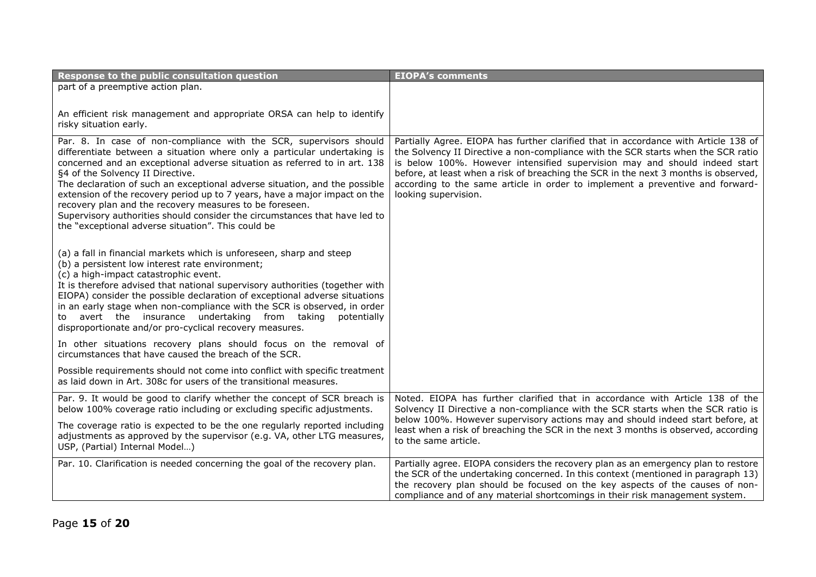| Response to the public consultation question                                                                                                                                                                                                                                                                                                                                                                                                                                                                                                                                                                               | <b>EIOPA's comments</b>                                                                                                                                                                                                                                                                                                                                                                                                                                |
|----------------------------------------------------------------------------------------------------------------------------------------------------------------------------------------------------------------------------------------------------------------------------------------------------------------------------------------------------------------------------------------------------------------------------------------------------------------------------------------------------------------------------------------------------------------------------------------------------------------------------|--------------------------------------------------------------------------------------------------------------------------------------------------------------------------------------------------------------------------------------------------------------------------------------------------------------------------------------------------------------------------------------------------------------------------------------------------------|
| part of a preemptive action plan.                                                                                                                                                                                                                                                                                                                                                                                                                                                                                                                                                                                          |                                                                                                                                                                                                                                                                                                                                                                                                                                                        |
| An efficient risk management and appropriate ORSA can help to identify<br>risky situation early.                                                                                                                                                                                                                                                                                                                                                                                                                                                                                                                           |                                                                                                                                                                                                                                                                                                                                                                                                                                                        |
| Par. 8. In case of non-compliance with the SCR, supervisors should<br>differentiate between a situation where only a particular undertaking is<br>concerned and an exceptional adverse situation as referred to in art. 138<br>§4 of the Solvency II Directive.<br>The declaration of such an exceptional adverse situation, and the possible<br>extension of the recovery period up to 7 years, have a major impact on the<br>recovery plan and the recovery measures to be foreseen.<br>Supervisory authorities should consider the circumstances that have led to<br>the "exceptional adverse situation". This could be | Partially Agree. EIOPA has further clarified that in accordance with Article 138 of<br>the Solvency II Directive a non-compliance with the SCR starts when the SCR ratio<br>is below 100%. However intensified supervision may and should indeed start<br>before, at least when a risk of breaching the SCR in the next 3 months is observed,<br>according to the same article in order to implement a preventive and forward-<br>looking supervision. |
| (a) a fall in financial markets which is unforeseen, sharp and steep<br>(b) a persistent low interest rate environment;<br>(c) a high-impact catastrophic event.<br>It is therefore advised that national supervisory authorities (together with<br>EIOPA) consider the possible declaration of exceptional adverse situations<br>in an early stage when non-compliance with the SCR is observed, in order<br>to avert the insurance undertaking from taking<br>potentially<br>disproportionate and/or pro-cyclical recovery measures.                                                                                     |                                                                                                                                                                                                                                                                                                                                                                                                                                                        |
| In other situations recovery plans should focus on the removal of<br>circumstances that have caused the breach of the SCR.                                                                                                                                                                                                                                                                                                                                                                                                                                                                                                 |                                                                                                                                                                                                                                                                                                                                                                                                                                                        |
| Possible requirements should not come into conflict with specific treatment<br>as laid down in Art. 308c for users of the transitional measures.                                                                                                                                                                                                                                                                                                                                                                                                                                                                           |                                                                                                                                                                                                                                                                                                                                                                                                                                                        |
| Par. 9. It would be good to clarify whether the concept of SCR breach is<br>below 100% coverage ratio including or excluding specific adjustments.                                                                                                                                                                                                                                                                                                                                                                                                                                                                         | Noted. EIOPA has further clarified that in accordance with Article 138 of the<br>Solvency II Directive a non-compliance with the SCR starts when the SCR ratio is                                                                                                                                                                                                                                                                                      |
| The coverage ratio is expected to be the one regularly reported including<br>adjustments as approved by the supervisor (e.g. VA, other LTG measures,<br>USP, (Partial) Internal Model)                                                                                                                                                                                                                                                                                                                                                                                                                                     | below 100%. However supervisory actions may and should indeed start before, at<br>least when a risk of breaching the SCR in the next 3 months is observed, according<br>to the same article.                                                                                                                                                                                                                                                           |
| Par. 10. Clarification is needed concerning the goal of the recovery plan.                                                                                                                                                                                                                                                                                                                                                                                                                                                                                                                                                 | Partially agree. EIOPA considers the recovery plan as an emergency plan to restore<br>the SCR of the undertaking concerned. In this context (mentioned in paragraph 13)<br>the recovery plan should be focused on the key aspects of the causes of non-<br>compliance and of any material shortcomings in their risk management system.                                                                                                                |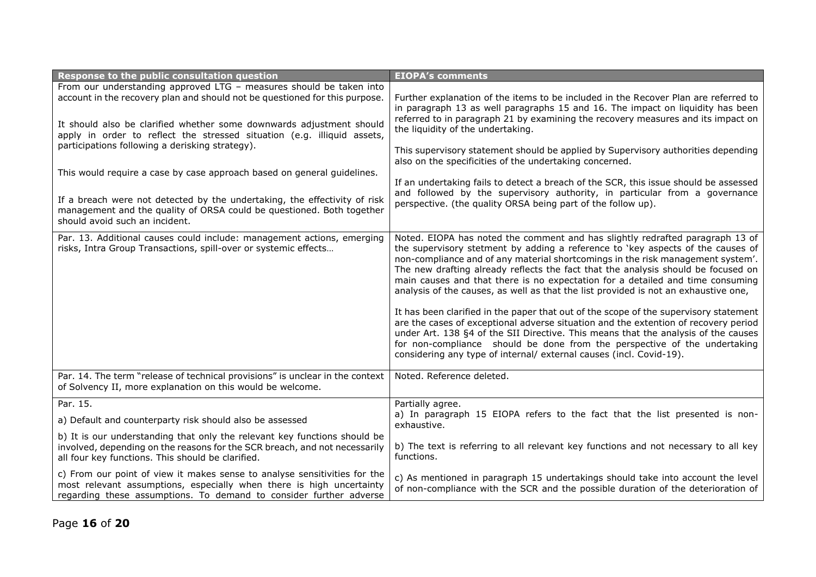| Response to the public consultation question                                                                                                                                                                                                                                                                                                                                                                                        | <b>EIOPA's comments</b>                                                                                                                                                                                                                                                                                                                                                                                                                                                                                                                                                                                                                                                                                                                                                                                                                                                                                                                     |
|-------------------------------------------------------------------------------------------------------------------------------------------------------------------------------------------------------------------------------------------------------------------------------------------------------------------------------------------------------------------------------------------------------------------------------------|---------------------------------------------------------------------------------------------------------------------------------------------------------------------------------------------------------------------------------------------------------------------------------------------------------------------------------------------------------------------------------------------------------------------------------------------------------------------------------------------------------------------------------------------------------------------------------------------------------------------------------------------------------------------------------------------------------------------------------------------------------------------------------------------------------------------------------------------------------------------------------------------------------------------------------------------|
| From our understanding approved LTG - measures should be taken into<br>account in the recovery plan and should not be questioned for this purpose.<br>It should also be clarified whether some downwards adjustment should<br>apply in order to reflect the stressed situation (e.g. illiquid assets,<br>participations following a derisking strategy).<br>This would require a case by case approach based on general guidelines. | Further explanation of the items to be included in the Recover Plan are referred to<br>in paragraph 13 as well paragraphs 15 and 16. The impact on liquidity has been<br>referred to in paragraph 21 by examining the recovery measures and its impact on<br>the liquidity of the undertaking.<br>This supervisory statement should be applied by Supervisory authorities depending<br>also on the specificities of the undertaking concerned.<br>If an undertaking fails to detect a breach of the SCR, this issue should be assessed                                                                                                                                                                                                                                                                                                                                                                                                      |
| If a breach were not detected by the undertaking, the effectivity of risk<br>management and the quality of ORSA could be questioned. Both together<br>should avoid such an incident.                                                                                                                                                                                                                                                | and followed by the supervisory authority, in particular from a governance<br>perspective. (the quality ORSA being part of the follow up).                                                                                                                                                                                                                                                                                                                                                                                                                                                                                                                                                                                                                                                                                                                                                                                                  |
| Par. 13. Additional causes could include: management actions, emerging<br>risks, Intra Group Transactions, spill-over or systemic effects                                                                                                                                                                                                                                                                                           | Noted. EIOPA has noted the comment and has slightly redrafted paragraph 13 of<br>the supervisory stetment by adding a reference to 'key aspects of the causes of<br>non-compliance and of any material shortcomings in the risk management system'.<br>The new drafting already reflects the fact that the analysis should be focused on<br>main causes and that there is no expectation for a detailed and time consuming<br>analysis of the causes, as well as that the list provided is not an exhaustive one,<br>It has been clarified in the paper that out of the scope of the supervisory statement<br>are the cases of exceptional adverse situation and the extention of recovery period<br>under Art. 138 §4 of the SII Directive. This means that the analysis of the causes<br>for non-compliance should be done from the perspective of the undertaking<br>considering any type of internal/ external causes (incl. Covid-19). |
| Par. 14. The term "release of technical provisions" is unclear in the context<br>of Solvency II, more explanation on this would be welcome.                                                                                                                                                                                                                                                                                         | Noted. Reference deleted.                                                                                                                                                                                                                                                                                                                                                                                                                                                                                                                                                                                                                                                                                                                                                                                                                                                                                                                   |
| Par. 15.                                                                                                                                                                                                                                                                                                                                                                                                                            | Partially agree.                                                                                                                                                                                                                                                                                                                                                                                                                                                                                                                                                                                                                                                                                                                                                                                                                                                                                                                            |
| a) Default and counterparty risk should also be assessed                                                                                                                                                                                                                                                                                                                                                                            | a) In paragraph 15 EIOPA refers to the fact that the list presented is non-<br>exhaustive.                                                                                                                                                                                                                                                                                                                                                                                                                                                                                                                                                                                                                                                                                                                                                                                                                                                  |
| b) It is our understanding that only the relevant key functions should be<br>involved, depending on the reasons for the SCR breach, and not necessarily<br>all four key functions. This should be clarified.                                                                                                                                                                                                                        | b) The text is referring to all relevant key functions and not necessary to all key<br>functions.                                                                                                                                                                                                                                                                                                                                                                                                                                                                                                                                                                                                                                                                                                                                                                                                                                           |
| c) From our point of view it makes sense to analyse sensitivities for the<br>most relevant assumptions, especially when there is high uncertainty<br>regarding these assumptions. To demand to consider further adverse                                                                                                                                                                                                             | c) As mentioned in paragraph 15 undertakings should take into account the level<br>of non-compliance with the SCR and the possible duration of the deterioration of                                                                                                                                                                                                                                                                                                                                                                                                                                                                                                                                                                                                                                                                                                                                                                         |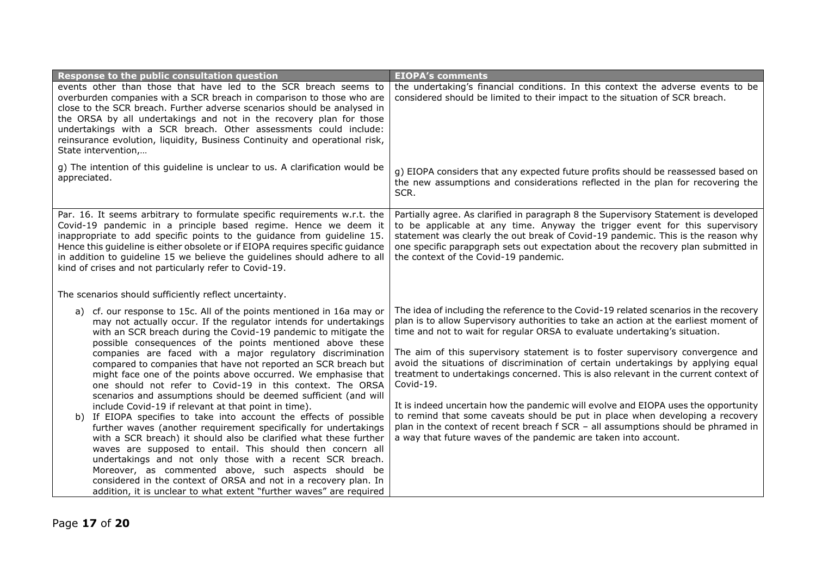| Response to the public consultation question                                                                                                                                                                                                                                                                                                                                                                                                                                                                               | <b>EIOPA's comments</b>                                                                                                                                                                                                                                                                                                                                                                                                                                                                                                   |
|----------------------------------------------------------------------------------------------------------------------------------------------------------------------------------------------------------------------------------------------------------------------------------------------------------------------------------------------------------------------------------------------------------------------------------------------------------------------------------------------------------------------------|---------------------------------------------------------------------------------------------------------------------------------------------------------------------------------------------------------------------------------------------------------------------------------------------------------------------------------------------------------------------------------------------------------------------------------------------------------------------------------------------------------------------------|
| events other than those that have led to the SCR breach seems to<br>overburden companies with a SCR breach in comparison to those who are<br>close to the SCR breach. Further adverse scenarios should be analysed in<br>the ORSA by all undertakings and not in the recovery plan for those<br>undertakings with a SCR breach. Other assessments could include:<br>reinsurance evolution, liquidity, Business Continuity and operational risk,<br>State intervention,                                                     | the undertaking's financial conditions. In this context the adverse events to be<br>considered should be limited to their impact to the situation of SCR breach.                                                                                                                                                                                                                                                                                                                                                          |
| g) The intention of this guideline is unclear to us. A clarification would be<br>appreciated.                                                                                                                                                                                                                                                                                                                                                                                                                              | g) EIOPA considers that any expected future profits should be reassessed based on<br>the new assumptions and considerations reflected in the plan for recovering the<br>SCR.                                                                                                                                                                                                                                                                                                                                              |
| Par. 16. It seems arbitrary to formulate specific requirements w.r.t. the<br>Covid-19 pandemic in a principle based regime. Hence we deem it<br>inappropriate to add specific points to the guidance from guideline 15.<br>Hence this guideline is either obsolete or if EIOPA requires specific guidance<br>in addition to guideline 15 we believe the guidelines should adhere to all<br>kind of crises and not particularly refer to Covid-19.                                                                          | Partially agree. As clarified in paragraph 8 the Supervisory Statement is developed<br>to be applicable at any time. Anyway the trigger event for this supervisory<br>statement was clearly the out break of Covid-19 pandemic. This is the reason why<br>one specific parapgraph sets out expectation about the recovery plan submitted in<br>the context of the Covid-19 pandemic.                                                                                                                                      |
| The scenarios should sufficiently reflect uncertainty.                                                                                                                                                                                                                                                                                                                                                                                                                                                                     |                                                                                                                                                                                                                                                                                                                                                                                                                                                                                                                           |
| a) cf. our response to 15c. All of the points mentioned in 16a may or<br>may not actually occur. If the regulator intends for undertakings<br>with an SCR breach during the Covid-19 pandemic to mitigate the<br>possible consequences of the points mentioned above these<br>companies are faced with a major regulatory discrimination<br>compared to companies that have not reported an SCR breach but<br>might face one of the points above occurred. We emphasise that                                               | The idea of including the reference to the Covid-19 related scenarios in the recovery<br>plan is to allow Supervisory authorities to take an action at the earliest moment of<br>time and not to wait for regular ORSA to evaluate undertaking's situation.<br>The aim of this supervisory statement is to foster supervisory convergence and<br>avoid the situations of discrimination of certain undertakings by applying equal<br>treatment to undertakings concerned. This is also relevant in the current context of |
| one should not refer to Covid-19 in this context. The ORSA<br>scenarios and assumptions should be deemed sufficient (and will                                                                                                                                                                                                                                                                                                                                                                                              | Covid-19.                                                                                                                                                                                                                                                                                                                                                                                                                                                                                                                 |
| include Covid-19 if relevant at that point in time).<br>b) If EIOPA specifies to take into account the effects of possible<br>further waves (another requirement specifically for undertakings<br>with a SCR breach) it should also be clarified what these further<br>waves are supposed to entail. This should then concern all<br>undertakings and not only those with a recent SCR breach.<br>Moreover, as commented above, such aspects should be<br>considered in the context of ORSA and not in a recovery plan. In | It is indeed uncertain how the pandemic will evolve and EIOPA uses the opportunity<br>to remind that some caveats should be put in place when developing a recovery<br>plan in the context of recent breach f SCR - all assumptions should be phramed in<br>a way that future waves of the pandemic are taken into account.                                                                                                                                                                                               |
| addition, it is unclear to what extent "further waves" are required                                                                                                                                                                                                                                                                                                                                                                                                                                                        |                                                                                                                                                                                                                                                                                                                                                                                                                                                                                                                           |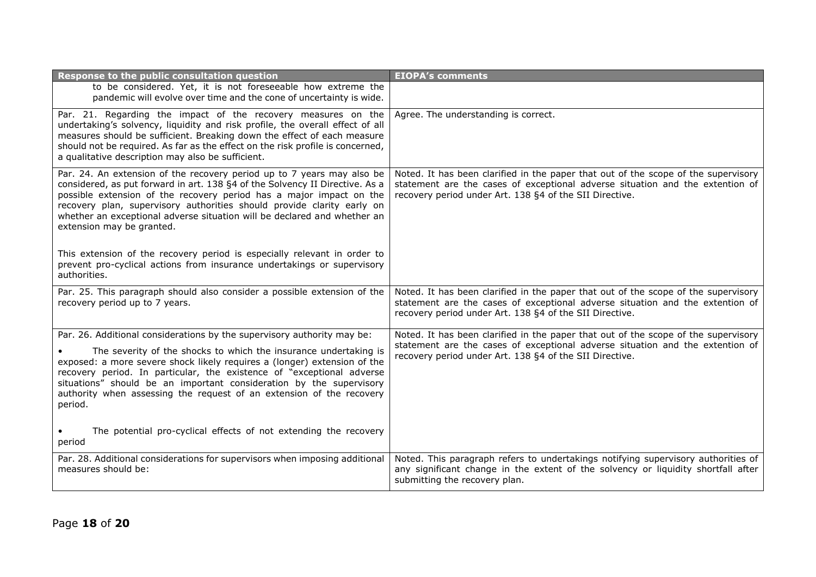| Response to the public consultation question                                                                                                                                                                                                                                                                                                                                                                     | <b>EIOPA's comments</b>                                                                                                                                                                                                        |
|------------------------------------------------------------------------------------------------------------------------------------------------------------------------------------------------------------------------------------------------------------------------------------------------------------------------------------------------------------------------------------------------------------------|--------------------------------------------------------------------------------------------------------------------------------------------------------------------------------------------------------------------------------|
| to be considered. Yet, it is not foreseeable how extreme the<br>pandemic will evolve over time and the cone of uncertainty is wide.                                                                                                                                                                                                                                                                              |                                                                                                                                                                                                                                |
| Par. 21. Regarding the impact of the recovery measures on the<br>undertaking's solvency, liquidity and risk profile, the overall effect of all<br>measures should be sufficient. Breaking down the effect of each measure<br>should not be required. As far as the effect on the risk profile is concerned,<br>a qualitative description may also be sufficient.                                                 | Agree. The understanding is correct.                                                                                                                                                                                           |
| Par. 24. An extension of the recovery period up to 7 years may also be<br>considered, as put forward in art. 138 §4 of the Solvency II Directive. As a<br>possible extension of the recovery period has a major impact on the<br>recovery plan, supervisory authorities should provide clarity early on<br>whether an exceptional adverse situation will be declared and whether an<br>extension may be granted. | Noted. It has been clarified in the paper that out of the scope of the supervisory<br>statement are the cases of exceptional adverse situation and the extention of<br>recovery period under Art. 138 §4 of the SII Directive. |
| This extension of the recovery period is especially relevant in order to<br>prevent pro-cyclical actions from insurance undertakings or supervisory<br>authorities.                                                                                                                                                                                                                                              |                                                                                                                                                                                                                                |
| Par. 25. This paragraph should also consider a possible extension of the<br>recovery period up to 7 years.                                                                                                                                                                                                                                                                                                       | Noted. It has been clarified in the paper that out of the scope of the supervisory<br>statement are the cases of exceptional adverse situation and the extention of<br>recovery period under Art. 138 §4 of the SII Directive. |
| Par. 26. Additional considerations by the supervisory authority may be:                                                                                                                                                                                                                                                                                                                                          | Noted. It has been clarified in the paper that out of the scope of the supervisory                                                                                                                                             |
| The severity of the shocks to which the insurance undertaking is<br>exposed: a more severe shock likely requires a (longer) extension of the<br>recovery period. In particular, the existence of "exceptional adverse<br>situations" should be an important consideration by the supervisory<br>authority when assessing the request of an extension of the recovery<br>period.                                  | statement are the cases of exceptional adverse situation and the extention of<br>recovery period under Art. 138 §4 of the SII Directive.                                                                                       |
| The potential pro-cyclical effects of not extending the recovery<br>period                                                                                                                                                                                                                                                                                                                                       |                                                                                                                                                                                                                                |
| Par. 28. Additional considerations for supervisors when imposing additional<br>measures should be:                                                                                                                                                                                                                                                                                                               | Noted. This paragraph refers to undertakings notifying supervisory authorities of<br>any significant change in the extent of the solvency or liquidity shortfall after<br>submitting the recovery plan.                        |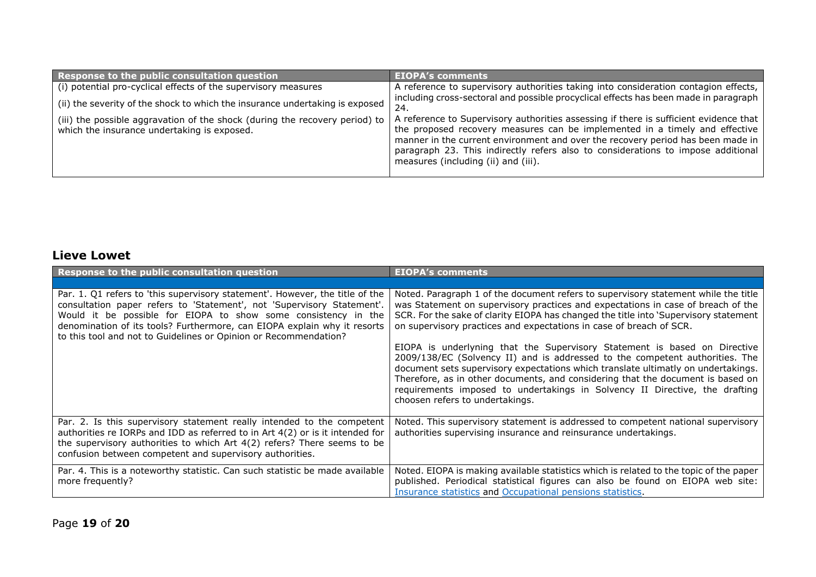| Response to the public consultation question                                                                               | <b>EIOPA's comments</b>                                                                                                                                                                                                                                                                                                                                                            |
|----------------------------------------------------------------------------------------------------------------------------|------------------------------------------------------------------------------------------------------------------------------------------------------------------------------------------------------------------------------------------------------------------------------------------------------------------------------------------------------------------------------------|
| (i) potential pro-cyclical effects of the supervisory measures                                                             | A reference to supervisory authorities taking into consideration contagion effects,                                                                                                                                                                                                                                                                                                |
| (ii) the severity of the shock to which the insurance undertaking is exposed                                               | including cross-sectoral and possible procyclical effects has been made in paragraph<br>24.                                                                                                                                                                                                                                                                                        |
| (iii) the possible aggravation of the shock (during the recovery period) to<br>which the insurance undertaking is exposed. | A reference to Supervisory authorities assessing if there is sufficient evidence that<br>the proposed recovery measures can be implemented in a timely and effective<br>manner in the current environment and over the recovery period has been made in<br>paragraph 23. This indirectly refers also to considerations to impose additional<br>measures (including (ii) and (iii). |

#### **Lieve Lowet**

| Response to the public consultation question                                                                                                                                                                                                                                                                                                                             | <b>EIOPA's comments</b>                                                                                                                                                                                                                                                                                                                                                                                                                             |
|--------------------------------------------------------------------------------------------------------------------------------------------------------------------------------------------------------------------------------------------------------------------------------------------------------------------------------------------------------------------------|-----------------------------------------------------------------------------------------------------------------------------------------------------------------------------------------------------------------------------------------------------------------------------------------------------------------------------------------------------------------------------------------------------------------------------------------------------|
|                                                                                                                                                                                                                                                                                                                                                                          |                                                                                                                                                                                                                                                                                                                                                                                                                                                     |
| Par. 1. Q1 refers to 'this supervisory statement'. However, the title of the<br>consultation paper refers to 'Statement', not 'Supervisory Statement'.<br>Would it be possible for EIOPA to show some consistency in the<br>denomination of its tools? Furthermore, can EIOPA explain why it resorts<br>to this tool and not to Guidelines or Opinion or Recommendation? | Noted. Paragraph 1 of the document refers to supervisory statement while the title<br>was Statement on supervisory practices and expectations in case of breach of the<br>SCR. For the sake of clarity EIOPA has changed the title into 'Supervisory statement<br>on supervisory practices and expectations in case of breach of SCR.                                                                                                               |
|                                                                                                                                                                                                                                                                                                                                                                          | EIOPA is underlyning that the Supervisory Statement is based on Directive<br>2009/138/EC (Solvency II) and is addressed to the competent authorities. The<br>document sets supervisory expectations which translate ultimatly on undertakings.<br>Therefore, as in other documents, and considering that the document is based on<br>requirements imposed to undertakings in Solvency II Directive, the drafting<br>choosen refers to undertakings. |
| Par. 2. Is this supervisory statement really intended to the competent<br>authorities re IORPs and IDD as referred to in Art 4(2) or is it intended for<br>the supervisory authorities to which Art 4(2) refers? There seems to be<br>confusion between competent and supervisory authorities.                                                                           | Noted. This supervisory statement is addressed to competent national supervisory<br>authorities supervising insurance and reinsurance undertakings.                                                                                                                                                                                                                                                                                                 |
| Par. 4. This is a noteworthy statistic. Can such statistic be made available<br>more frequently?                                                                                                                                                                                                                                                                         | Noted. EIOPA is making available statistics which is related to the topic of the paper<br>published. Periodical statistical figures can also be found on EIOPA web site:<br>Insurance statistics and Occupational pensions statistics.                                                                                                                                                                                                              |